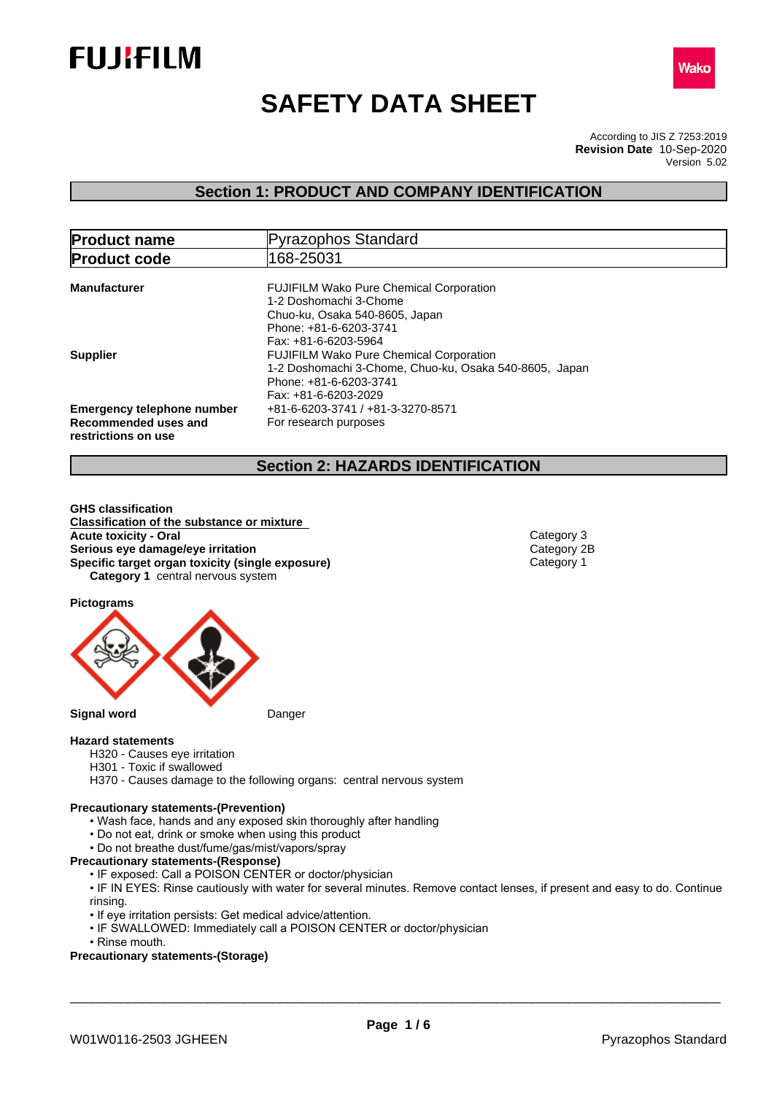



# **SAFETY DATA SHEET**

According to JIS Z 7253:2019 Version 5.02 **Revision Date** 10-Sep-2020

## **Section 1: PRODUCT AND COMPANY IDENTIFICATION**

| <b>Product name</b>                                                              | Pyrazophos Standard                                                                                                                                          |
|----------------------------------------------------------------------------------|--------------------------------------------------------------------------------------------------------------------------------------------------------------|
| <b>Product code</b>                                                              | 168-25031                                                                                                                                                    |
| <b>Manufacturer</b>                                                              | <b>FUJIFILM Wako Pure Chemical Corporation</b><br>1-2 Doshomachi 3-Chome<br>Chuo-ku, Osaka 540-8605, Japan<br>Phone: +81-6-6203-3741<br>Fax: +81-6-6203-5964 |
| <b>Supplier</b>                                                                  | <b>FUJIFILM Wako Pure Chemical Corporation</b><br>1-2 Doshomachi 3-Chome, Chuo-ku, Osaka 540-8605, Japan<br>Phone: +81-6-6203-3741<br>Fax: +81-6-6203-2029   |
| <b>Emergency telephone number</b><br>Recommended uses and<br>restrictions on use | +81-6-6203-3741 / +81-3-3270-8571<br>For research purposes                                                                                                   |

## **Section 2: HAZARDS IDENTIFICATION**

**GHS classification Classification of the substance or mixture Acute toxicity - Oral** Category 3 **Serious eye damage/eye irritation**<br> **Specific target organ toxicity (single exposure)**<br>
Category 1 **Specific target organ toxicity (single exposure) Category 1** central nervous system

**Pictograms**



### **Hazard statements**

- H320 Causes eye irritation
- H301 Toxic if swallowed
- H370 Causes damage to the following organs: central nervous system

#### **Precautionary statements-(Prevention)**

- Wash face, hands and any exposed skin thoroughly after handling
- Do not eat, drink or smoke when using this product
- Do not breathe dust/fume/gas/mist/vapors/spray
- **Precautionary statements-(Response)**
	- IF exposed: Call a POISON CENTER or doctor/physician

• IF IN EYES: Rinse cautiously with water for several minutes. Remove contact lenses, if present and easy to do. Continue rinsing.

- If eye irritation persists: Get medical advice/attention.
- IF SWALLOWED: Immediately call a POISON CENTER or doctor/physician
- Rinse mouth.

### **Precautionary statements-(Storage)**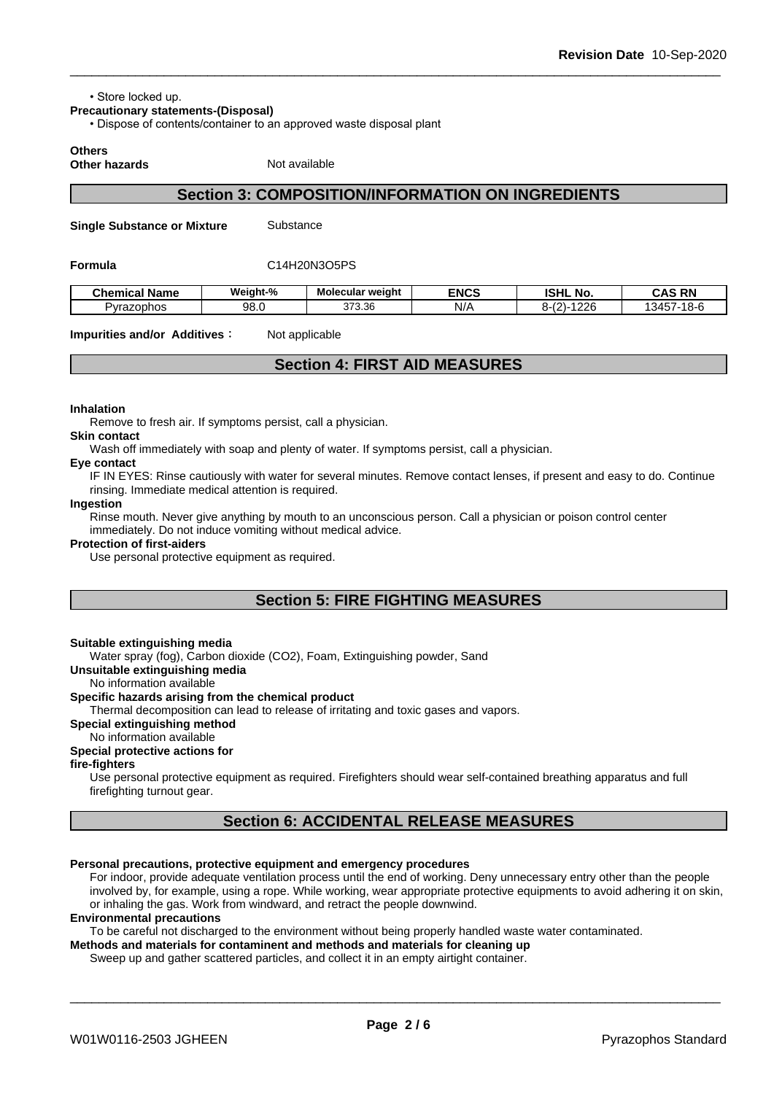• Store locked up.

**Precautionary statements-(Disposal)**

• Dispose of contents/container to an approved waste disposal plant

**Others**

**Other hazards** Not available

## **Section 3: COMPOSITION/INFORMATION ON INGREDIENTS**

**Single Substance or Mixture** Substance

#### **Formula** C14H20N3O5PS

| <b>Chemical Name</b> | Weiaht-%   | Molecular weight | <b>ENCS</b> | <b>ISHL</b><br>. NO.                    | <b>CAS RN</b>                                                |
|----------------------|------------|------------------|-------------|-----------------------------------------|--------------------------------------------------------------|
| Pyrazophos           | QR<br>JU.U | 373.36           | N/A         | 1226<br>$\sqrt{2}$<br>/ I= I<br>. ے ا−^ | 13457<br>$\rightarrow$ $\rightarrow$ $\rightarrow$<br>- 10-0 |

**Impurities and/or Additives:** Not applicable

## **Section 4: FIRST AID MEASURES**

#### **Inhalation**

Remove to fresh air. If symptoms persist, call a physician.

#### **Skin contact**

Wash off immediately with soap and plenty of water. If symptoms persist, calla physician.

#### **Eye contact**

IF IN EYES: Rinse cautiously with water for several minutes. Remove contact lenses, if present and easy to do. Continue rinsing. Immediate medical attention is required.

#### **Ingestion**

Rinse mouth. Never give anything by mouth to an unconscious person. Call a physician or poison control center immediately. Do not induce vomiting without medical advice.

#### **Protection of first-aiders**

Use personal protective equipment as required.

## **Section 5: FIRE FIGHTING MEASURES**

#### **Suitable extinguishing media**

Water spray (fog), Carbon dioxide (CO2), Foam, Extinguishing powder, Sand

#### **Unsuitable extinguishing media**

No information available

### **Specific hazards arising from the chemical product**

Thermal decomposition can lead to release of irritating and toxic gases and vapors.

#### **Special extinguishing method**

#### No information available

#### **Special protective actions for**

#### **fire-fighters**

Use personal protective equipment as required.Firefighters should wear self-contained breathing apparatus and full firefighting turnout gear.

## **Section 6: ACCIDENTAL RELEASE MEASURES**

#### **Personal precautions, protective equipment and emergency procedures**

For indoor, provide adequate ventilation process until the end of working. Deny unnecessary entry other than the people involved by, for example, using a rope. While working, wear appropriate protective equipments to avoid adhering it on skin, or inhaling the gas. Work from windward, and retract the people downwind.

#### **Environmental precautions**

To be careful not discharged to the environment without being properly handled waste water contaminated.

**Methods and materials for contaminent and methods and materials for cleaning up**

Sweep up and gather scattered particles, and collect it in an empty airtight container.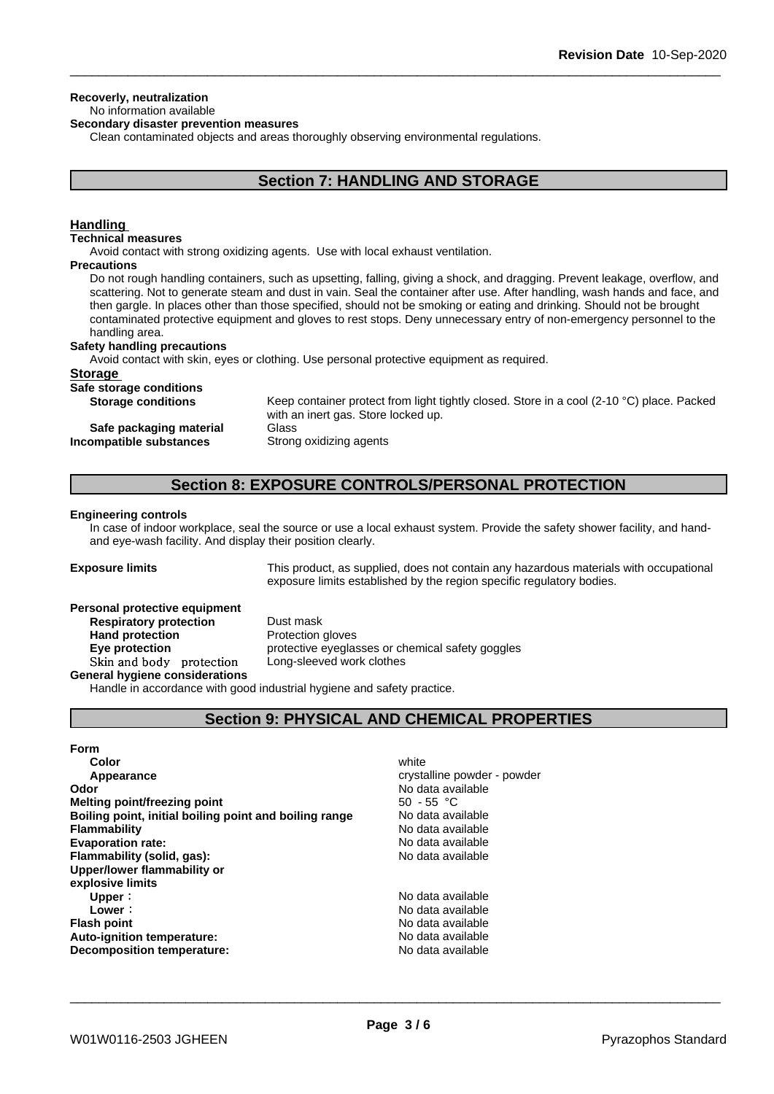#### **Recoverly, neutralization**

#### No information available

**Secondary disaster prevention measures**

Clean contaminated objects and areas thoroughly observing environmental regulations.

## **Section 7: HANDLING AND STORAGE**

#### **Handling**

#### **Technical measures**

Avoid contact with strong oxidizing agents. Use with local exhaust ventilation.

#### **Precautions**

Do not rough handling containers, such as upsetting, falling, giving a shock, and dragging. Prevent leakage, overflow, and scattering. Not to generate steam and dust in vain. Seal the container after use. After handling, wash hands and face, and then gargle. In places other than those specified, should not be smoking or eating and drinking. Should not be brought contaminated protective equipment and gloves to rest stops. Deny unnecessary entry of non-emergency personnel to the handling area.

#### **Safety handling precautions**

Avoid contact with skin, eyes or clothing. Use personal protective equipment as required.

#### **Storage**

| Safe storage conditions   |                                                                                                     |
|---------------------------|-----------------------------------------------------------------------------------------------------|
| <b>Storage conditions</b> | Keep container protect from light tightly closed. Store in a cool (2-10 $^{\circ}$ C) place. Packed |
|                           | with an inert gas. Store locked up.                                                                 |
| Safe packaging material   | Glass                                                                                               |
| Incompatible substances   | Strong oxidizing agents                                                                             |

## **Section 8: EXPOSURE CONTROLS/PERSONAL PROTECTION**

#### **Engineering controls**

In case of indoor workplace, seal the source or use a local exhaust system. Provide the safety shower facility, and handand eye-wash facility. And display their position clearly.

**Exposure limits** This product, as supplied, does not contain any hazardous materials with occupational exposure limits established by the region specific regulatory bodies.

#### **Personal protective equipment**

**Respiratory protection** Dust mask **Hand protection** Protection gloves **Skinandbody protection** Long-sleeved work clothes **General hygiene considerations**

**Eye protection Exercise** protective eyeglasses or chemical safety goggles

Handle in accordance with good industrial hygiene and safety practice.

## **Section 9: PHYSICAL AND CHEMICAL PROPERTIES**

#### **Form**

| Color                                                  | white                       |
|--------------------------------------------------------|-----------------------------|
| Appearance                                             | crystalline powder - powder |
| Odor                                                   | No data available           |
| Melting point/freezing point                           | $50 - 55$ °C                |
| Boiling point, initial boiling point and boiling range | No data available           |
| <b>Flammability</b>                                    | No data available           |
| <b>Evaporation rate:</b>                               | No data available           |
| Flammability (solid, gas):                             | No data available           |
| Upper/lower flammability or                            |                             |
| explosive limits                                       |                             |
| Upper:                                                 | No data available           |
| Lower:                                                 | No data available           |
| <b>Flash point</b>                                     | No data available           |
| <b>Auto-ignition temperature:</b>                      | No data available           |
| Decomposition temperature:                             | No data available           |
|                                                        |                             |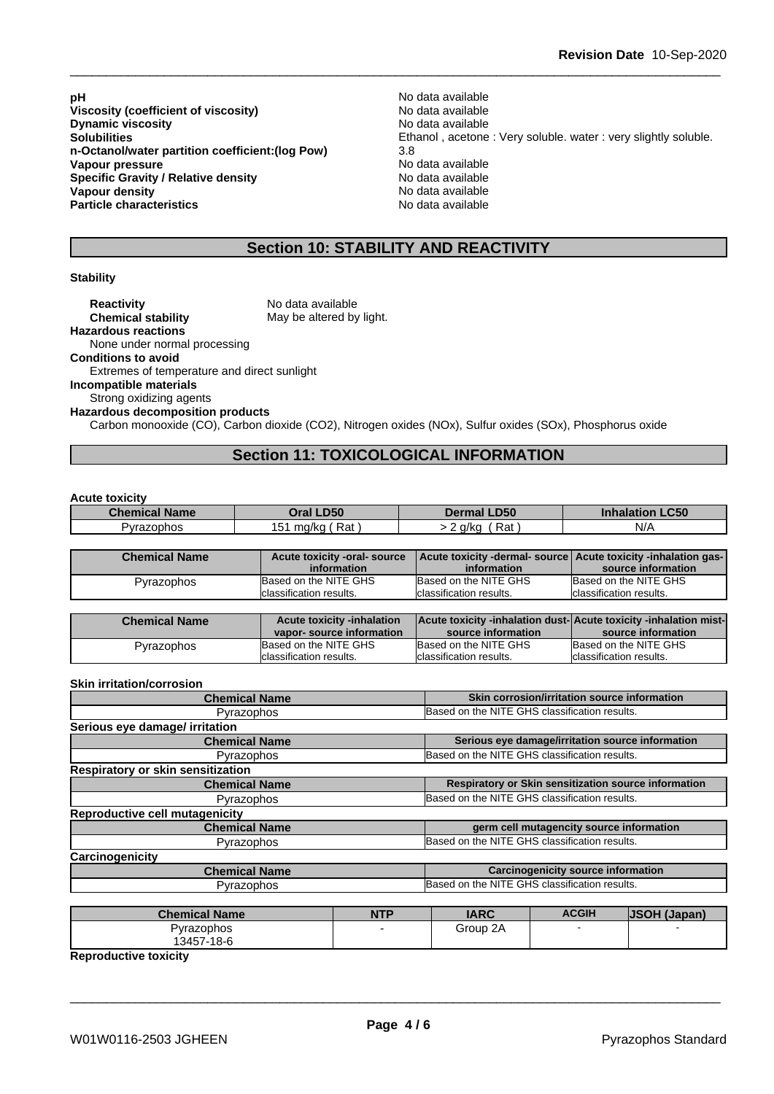**pH** No data available **Viscosity (coefficient of viscosity)** No data available Note and the North Control of the North Control of the N **Dynamic viscosity** Notation and the North Modern Modern Annual Modern Modern Annual Modern Modern Modern Annual Mo **n-Octanol/water partition coefficient:(log Pow)** 3.8 **Vapour pressure**<br> **Specific Gravity / Relative density**<br>
Specific Gravity / Relative density<br>
No data available **Specific Gravity / Relative density and the Specific Gravity / Relative density No data available Vapour density Vapour density Particle characteristics** No data available

**Solubilities**<br> **Solubilities**<br> **n-Octanol/water partition coefficient:(log Pow)**<br>
3.8<br> **3.8**<br> **3.8** 

## **Section 10: STABILITY AND REACTIVITY**

#### **Stability**

| <b>Reactivity</b>                           | No data available                                                                                         |
|---------------------------------------------|-----------------------------------------------------------------------------------------------------------|
| <b>Chemical stability</b>                   | May be altered by light.                                                                                  |
| <b>Hazardous reactions</b>                  |                                                                                                           |
| None under normal processing                |                                                                                                           |
| <b>Conditions to avoid</b>                  |                                                                                                           |
| Extremes of temperature and direct sunlight |                                                                                                           |
| Incompatible materials                      |                                                                                                           |
| Strong oxidizing agents                     |                                                                                                           |
| <b>Hazardous decomposition products</b>     |                                                                                                           |
|                                             | Carbon monooxide (CO), Carbon dioxide (CO2), Nitrogen oxides (NOx), Sulfur oxides (SOx), Phosphorus oxide |

## **Section 11: TOXICOLOGICAL INFORMATION**

#### **Acute toxicity**

| <b>Name</b><br>Chemical | <b>D50</b><br>Dral        | <b>LD50</b><br><b>Dermal</b> | C <sub>ED</sub><br>ınnala<br>-con<br>וסודי. |
|-------------------------|---------------------------|------------------------------|---------------------------------------------|
| Pyrazophos              | Rat<br>ma/ka<br><u>51</u> | Rat<br>a/ka                  | N/A                                         |

| <b>Chemical Name</b> | Acute toxicity -oral- source |                          | Acute toxicity -dermal- source Acute toxicity -inhalation gas- |
|----------------------|------------------------------|--------------------------|----------------------------------------------------------------|
|                      | information                  | information              | source information                                             |
| Pyrazophos           | Based on the NITE GHS        | Based on the NITE GHS    | Based on the NITE GHS                                          |
|                      | classification results.      | Iclassification results. | Iclassification results.                                       |

| <b>Chemical Name</b> | <b>Acute toxicity -inhalation</b> | <b>Acute toxicity -inhalation dust-Acute toxicity -inhalation mist-</b> |                          |
|----------------------|-----------------------------------|-------------------------------------------------------------------------|--------------------------|
|                      | vapor-source information          | source information                                                      | source information       |
| Pyrazophos           | Based on the NITE GHS             | Based on the NITE GHS                                                   | Based on the NITE GHS    |
|                      | Iclassification results.          | Iclassification results.                                                | Iclassification results. |

#### **Skin irritation/corrosion**

| <b>Chemical Name</b>                  | Skin corrosion/irritation source information         |  |
|---------------------------------------|------------------------------------------------------|--|
| Pyrazophos                            | Based on the NITE GHS classification results.        |  |
| Serious eye damage/ irritation        |                                                      |  |
| <b>Chemical Name</b>                  | Serious eye damage/irritation source information     |  |
| Pyrazophos                            | Based on the NITE GHS classification results.        |  |
| Respiratory or skin sensitization     |                                                      |  |
| <b>Chemical Name</b>                  | Respiratory or Skin sensitization source information |  |
| Pyrazophos                            | Based on the NITE GHS classification results.        |  |
| <b>Reproductive cell mutagenicity</b> |                                                      |  |
| <b>Chemical Name</b>                  | germ cell mutagencity source information             |  |
| Pyrazophos                            | Based on the NITE GHS classification results.        |  |
| Carcinogenicity                       |                                                      |  |
| <b>Chemical Name</b>                  | <b>Carcinogenicity source information</b>            |  |
| Pyrazophos                            | Based on the NITE GHS classification results.        |  |

| <b>Chemical Name</b> | NTP | <b>IARC</b> | <b>ACGIH</b> | <b>JSOH (Japan)</b> |
|----------------------|-----|-------------|--------------|---------------------|
| Pyrazophos           |     | 2A<br>Group |              |                     |
| 13457-18-6           |     |             |              |                     |

**Reproductive toxicity**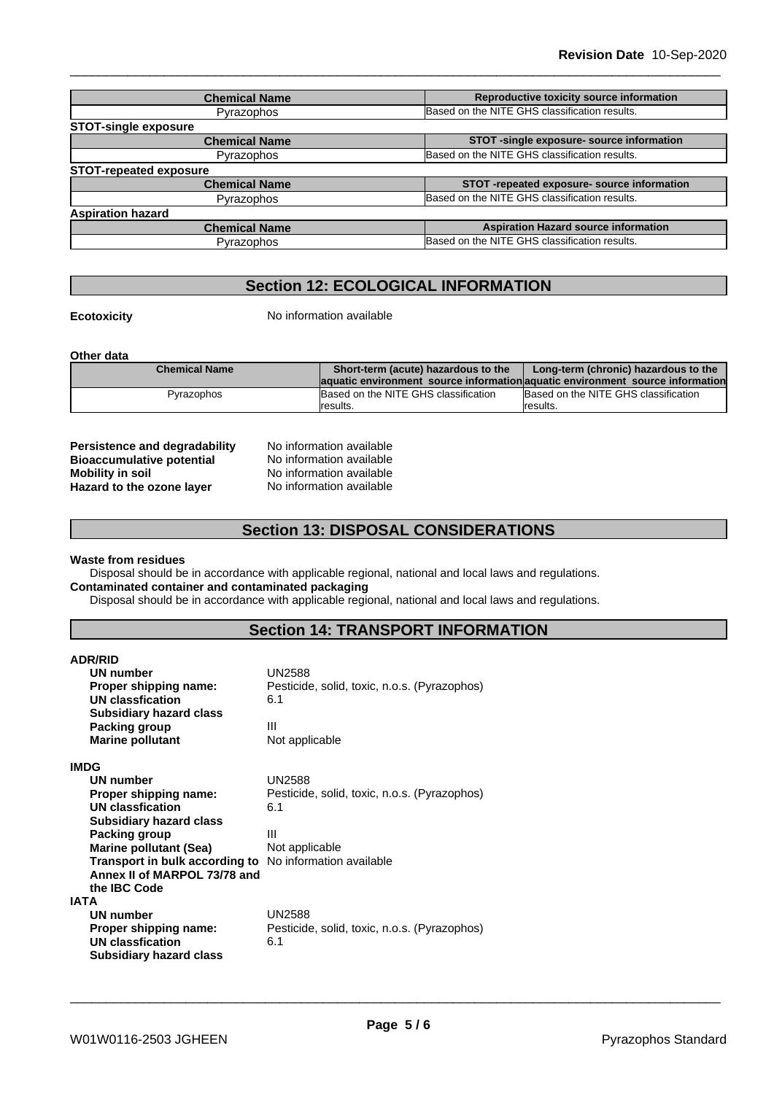| <b>Chemical Name</b>          | Reproductive toxicity source information      |  |
|-------------------------------|-----------------------------------------------|--|
| Pyrazophos                    | Based on the NITE GHS classification results. |  |
| <b>STOT-single exposure</b>   |                                               |  |
| <b>Chemical Name</b>          | STOT -single exposure- source information     |  |
| Pyrazophos                    | Based on the NITE GHS classification results. |  |
| <b>STOT-repeated exposure</b> |                                               |  |
| <b>Chemical Name</b>          | STOT-repeated exposure- source information    |  |
| Pyrazophos                    | Based on the NITE GHS classification results. |  |
| <b>Aspiration hazard</b>      |                                               |  |
| <b>Chemical Name</b>          | <b>Aspiration Hazard source information</b>   |  |
| Pyrazophos                    | Based on the NITE GHS classification results. |  |
|                               |                                               |  |

## **Section 12: ECOLOGICAL INFORMATION**

**Ecotoxicity No information available** 

**Other data**

| <b>Chemical Name</b> | Short-term (acute) hazardous to the                                            | Long-term (chronic) hazardous to the |
|----------------------|--------------------------------------------------------------------------------|--------------------------------------|
|                      | laquatic environment source information aquatic environment source information |                                      |
| Pvrazophos           | Based on the NITE GHS classification                                           | Based on the NITE GHS classification |
|                      | Iresults.                                                                      | Iresults.                            |

| <b>Persistence and degradability</b> |
|--------------------------------------|
| <b>Bioaccumulative potential</b>     |
| <b>Mobility in soil</b>              |
| Hazard to the ozone layer            |

**No information available No information available Mobility in soil** No information available **Hazard to the ozone layer** No information available

## **Section 13: DISPOSAL CONSIDERATIONS**

### **Waste from residues**

Disposal should be in accordance with applicable regional, national and local laws and regulations. **Contaminated container and contaminated packaging**

Disposal should be in accordance with applicable regional, national and local laws and regulations.

## **Section 14: TRANSPORT INFORMATION**

| <b>ADR/RID</b><br>UN number<br>Proper shipping name:<br>UN classfication<br><b>Subsidiary hazard class</b><br>Packing group<br><b>Marine pollutant</b>                                                                                      | UN2588<br>Pesticide, solid, toxic, n.o.s. (Pyrazophos)<br>6.1<br>Ш<br>Not applicable                                    |
|---------------------------------------------------------------------------------------------------------------------------------------------------------------------------------------------------------------------------------------------|-------------------------------------------------------------------------------------------------------------------------|
| <b>IMDG</b><br>UN number<br>Proper shipping name:<br>UN classfication<br><b>Subsidiary hazard class</b><br>Packing group<br><b>Marine pollutant (Sea)</b><br>Transport in bulk according to<br>Annex II of MARPOL 73/78 and<br>the IBC Code | <b>UN2588</b><br>Pesticide, solid, toxic, n.o.s. (Pyrazophos)<br>6.1<br>Ш<br>Not applicable<br>No information available |
| <b>IATA</b><br>UN number<br>Proper shipping name:<br><b>UN classfication</b><br><b>Subsidiary hazard class</b>                                                                                                                              | <b>UN2588</b><br>Pesticide, solid, toxic, n.o.s. (Pyrazophos)<br>6.1                                                    |